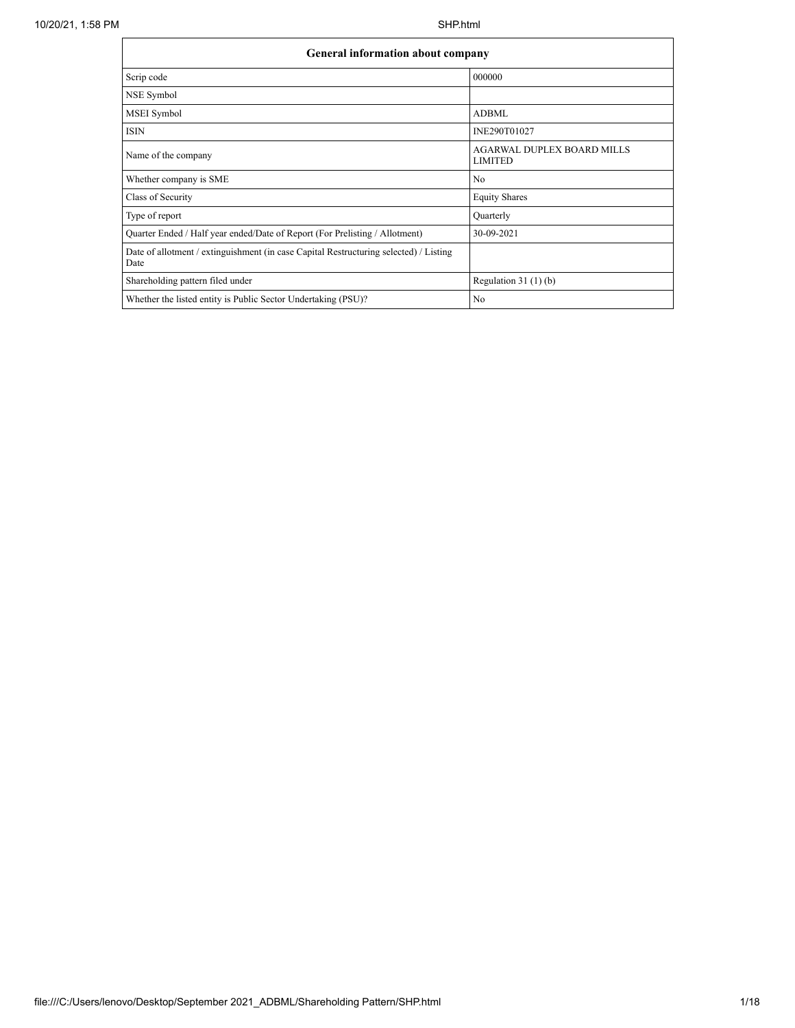$\mathbf{r}$ 

| <b>General information about company</b>                                                      |                                                     |  |  |  |  |  |
|-----------------------------------------------------------------------------------------------|-----------------------------------------------------|--|--|--|--|--|
| Scrip code                                                                                    | 000000                                              |  |  |  |  |  |
| NSE Symbol                                                                                    |                                                     |  |  |  |  |  |
| MSEI Symbol                                                                                   | ADBML                                               |  |  |  |  |  |
| <b>ISIN</b>                                                                                   | INE290T01027                                        |  |  |  |  |  |
| Name of the company                                                                           | <b>AGARWAL DUPLEX BOARD MILLS</b><br><b>LIMITED</b> |  |  |  |  |  |
| Whether company is SME                                                                        | N <sub>0</sub>                                      |  |  |  |  |  |
| Class of Security                                                                             | <b>Equity Shares</b>                                |  |  |  |  |  |
| Type of report                                                                                | Quarterly                                           |  |  |  |  |  |
| Quarter Ended / Half year ended/Date of Report (For Prelisting / Allotment)                   | 30-09-2021                                          |  |  |  |  |  |
| Date of allotment / extinguishment (in case Capital Restructuring selected) / Listing<br>Date |                                                     |  |  |  |  |  |
| Shareholding pattern filed under                                                              | Regulation $31(1)(b)$                               |  |  |  |  |  |
| Whether the listed entity is Public Sector Undertaking (PSU)?                                 | N <sub>0</sub>                                      |  |  |  |  |  |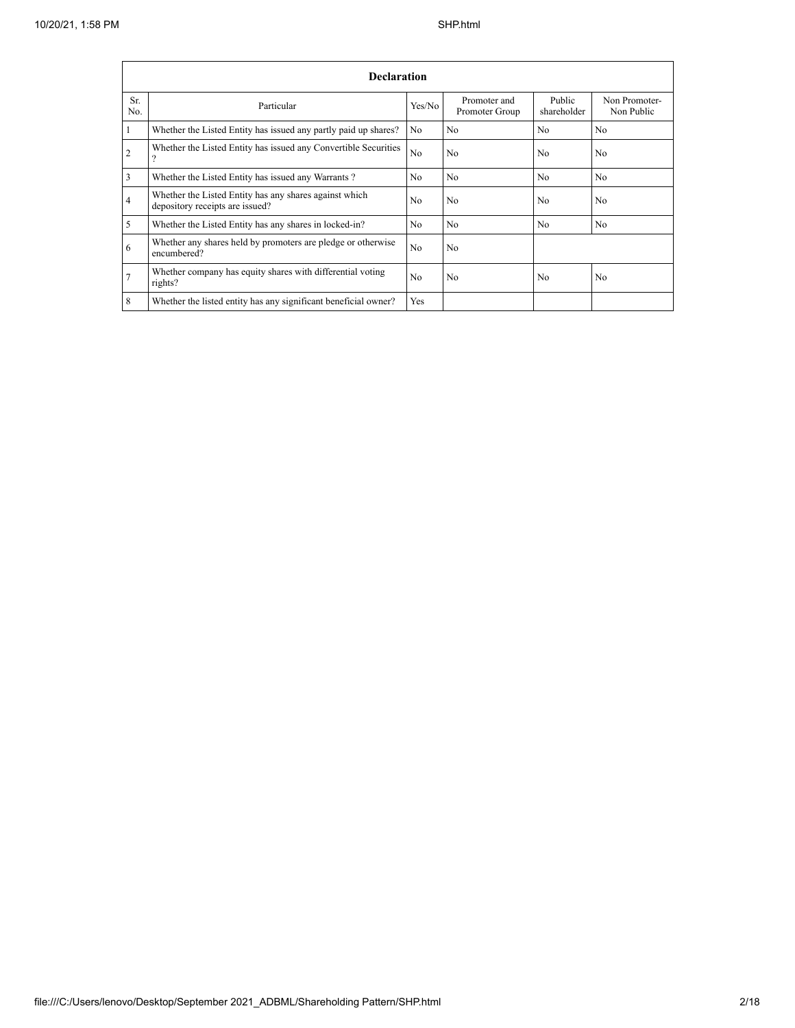|                | <b>Declaration</b>                                                                        |                |                                |                       |                             |  |  |  |  |  |
|----------------|-------------------------------------------------------------------------------------------|----------------|--------------------------------|-----------------------|-----------------------------|--|--|--|--|--|
| Sr.<br>No.     | Particular                                                                                | Yes/No         | Promoter and<br>Promoter Group | Public<br>shareholder | Non Promoter-<br>Non Public |  |  |  |  |  |
|                | Whether the Listed Entity has issued any partly paid up shares?                           | N <sub>0</sub> | N <sub>0</sub>                 | N <sub>0</sub>        | N <sub>0</sub>              |  |  |  |  |  |
| $\overline{2}$ | Whether the Listed Entity has issued any Convertible Securities<br>റ                      | No             | N <sub>0</sub>                 | N <sub>0</sub>        | N <sub>0</sub>              |  |  |  |  |  |
| 3              | Whether the Listed Entity has issued any Warrants?                                        | N <sub>0</sub> | N <sub>0</sub>                 | N <sub>0</sub>        | N <sub>0</sub>              |  |  |  |  |  |
| $\overline{4}$ | Whether the Listed Entity has any shares against which<br>depository receipts are issued? | No             | N <sub>0</sub>                 | N <sub>0</sub>        | N <sub>0</sub>              |  |  |  |  |  |
| 5              | Whether the Listed Entity has any shares in locked-in?                                    | N <sub>0</sub> | N <sub>0</sub>                 | N <sub>0</sub>        | N <sub>0</sub>              |  |  |  |  |  |
| 6              | Whether any shares held by promoters are pledge or otherwise<br>encumbered?               | N <sub>0</sub> | No                             |                       |                             |  |  |  |  |  |
| $\overline{7}$ | Whether company has equity shares with differential voting<br>rights?                     | No             | No                             | N <sub>0</sub>        | N <sub>0</sub>              |  |  |  |  |  |
| 8              | Whether the listed entity has any significant beneficial owner?                           | Yes            |                                |                       |                             |  |  |  |  |  |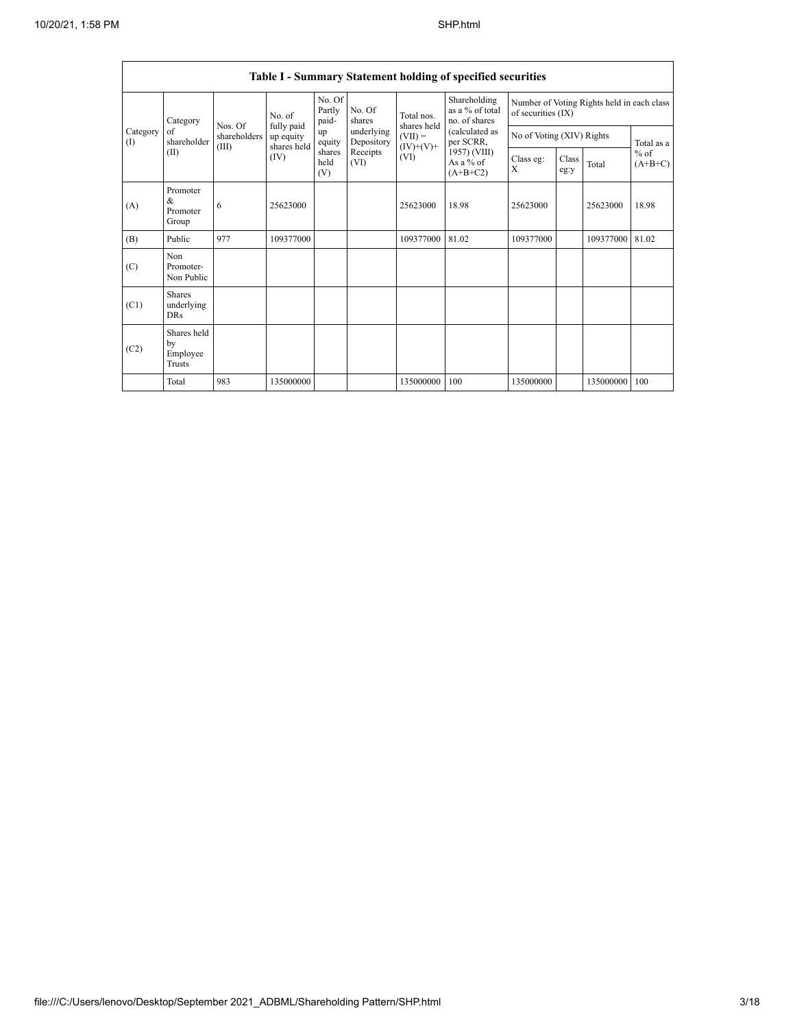Ē

|                 | <b>Table I - Summary Statement holding of specified securities</b> |                       |                                        |                           |                          |                                                               |                                                                                                                              |                                                                  |               |           |                     |
|-----------------|--------------------------------------------------------------------|-----------------------|----------------------------------------|---------------------------|--------------------------|---------------------------------------------------------------|------------------------------------------------------------------------------------------------------------------------------|------------------------------------------------------------------|---------------|-----------|---------------------|
|                 | Category                                                           | Nos. Of               | No. of                                 | No. Of<br>Partly<br>paid- | No. Of<br>shares         | Total nos.<br>shares held<br>$(VII) =$<br>$(IV)+(V)+$<br>(VI) | Shareholding<br>as a % of total<br>no. of shares<br>(calculated as<br>per SCRR,<br>1957) (VIII)<br>As a $%$ of<br>$(A+B+C2)$ | Number of Voting Rights held in each class<br>of securities (IX) |               |           |                     |
| Category<br>(1) | of<br>shareholder                                                  | shareholders<br>(III) | fully paid<br>up equity<br>shares held | up<br>equity              | underlying<br>Depository |                                                               |                                                                                                                              | No of Voting (XIV) Rights                                        |               |           | Total as a          |
|                 | (II)                                                               |                       | (IV)                                   | shares<br>held<br>(V)     | Receipts<br>(VI)         |                                                               |                                                                                                                              | Class eg:<br>X                                                   | Class<br>eg:y | Total     | $%$ of<br>$(A+B+C)$ |
| (A)             | Promoter<br>&<br>Promoter<br>Group                                 | 6                     | 25623000                               |                           |                          | 25623000                                                      | 18.98                                                                                                                        | 25623000                                                         |               | 25623000  | 18.98               |
| (B)             | Public                                                             | 977                   | 109377000                              |                           |                          | 109377000                                                     | 81.02                                                                                                                        | 109377000                                                        |               | 109377000 | 81.02               |
| (C)             | Non<br>Promoter-<br>Non Public                                     |                       |                                        |                           |                          |                                                               |                                                                                                                              |                                                                  |               |           |                     |
| (C1)            | <b>Shares</b><br>underlying<br><b>DRs</b>                          |                       |                                        |                           |                          |                                                               |                                                                                                                              |                                                                  |               |           |                     |
| (C2)            | Shares held<br>by<br>Employee<br>Trusts                            |                       |                                        |                           |                          |                                                               |                                                                                                                              |                                                                  |               |           |                     |
|                 | Total                                                              | 983                   | 135000000                              |                           |                          | 135000000                                                     | 100                                                                                                                          | 135000000                                                        |               | 135000000 | 100                 |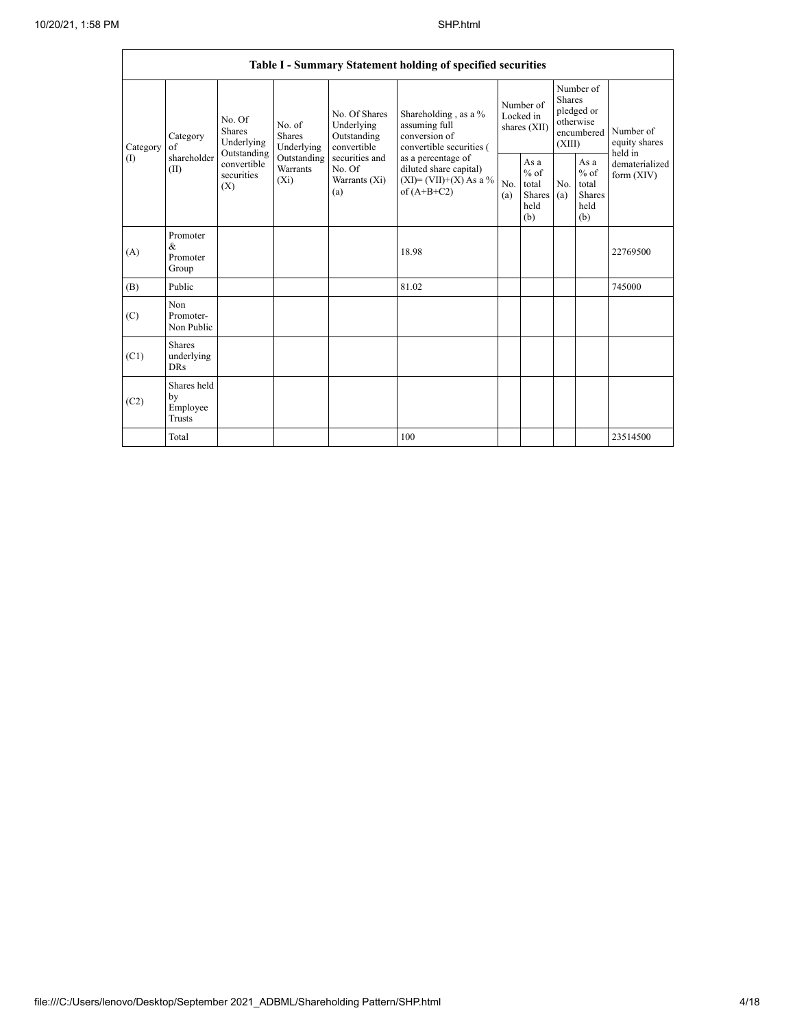| Table I - Summary Statement holding of specified securities |                                                                                        |                           |                                       |                                                           |                                                                                            |            |                                                         |            |                                                                               |                                       |
|-------------------------------------------------------------|----------------------------------------------------------------------------------------|---------------------------|---------------------------------------|-----------------------------------------------------------|--------------------------------------------------------------------------------------------|------------|---------------------------------------------------------|------------|-------------------------------------------------------------------------------|---------------------------------------|
| Category<br>(1)                                             | No. Of<br><b>Shares</b><br>Category<br>of<br>Outstanding<br>shareholder<br>(II)<br>(X) | Underlying                | No. of<br><b>Shares</b><br>Underlying | No. Of Shares<br>Underlying<br>Outstanding<br>convertible | Shareholding, as a %<br>assuming full<br>conversion of<br>convertible securities (         |            | Number of<br>Locked in<br>shares (XII)                  |            | Number of<br><b>Shares</b><br>pledged or<br>otherwise<br>encumbered<br>(XIII) | Number of<br>equity shares<br>held in |
|                                                             |                                                                                        | convertible<br>securities | Outstanding<br>Warrants<br>$(X_i)$    | securities and<br>No. Of<br>Warrants (Xi)<br>(a)          | as a percentage of<br>diluted share capital)<br>$(XI) = (VII)+(X) As a %$<br>of $(A+B+C2)$ | No.<br>(a) | As a<br>$%$ of<br>total<br><b>Shares</b><br>held<br>(b) | No.<br>(a) | As a<br>$%$ of<br>total<br><b>Shares</b><br>held<br>(b)                       | dematerialized<br>form $(XIV)$        |
| (A)                                                         | Promoter<br>$\&$<br>Promoter<br>Group                                                  |                           |                                       |                                                           | 18.98                                                                                      |            |                                                         |            |                                                                               | 22769500                              |
| (B)                                                         | Public                                                                                 |                           |                                       |                                                           | 81.02                                                                                      |            |                                                         |            |                                                                               | 745000                                |
| (C)                                                         | Non<br>Promoter-<br>Non Public                                                         |                           |                                       |                                                           |                                                                                            |            |                                                         |            |                                                                               |                                       |
| (C1)                                                        | Shares<br>underlying<br><b>DRs</b>                                                     |                           |                                       |                                                           |                                                                                            |            |                                                         |            |                                                                               |                                       |
| (C2)                                                        | Shares held<br>by<br>Employee<br>Trusts                                                |                           |                                       |                                                           |                                                                                            |            |                                                         |            |                                                                               |                                       |
|                                                             | Total                                                                                  |                           |                                       |                                                           | 100                                                                                        |            |                                                         |            |                                                                               | 23514500                              |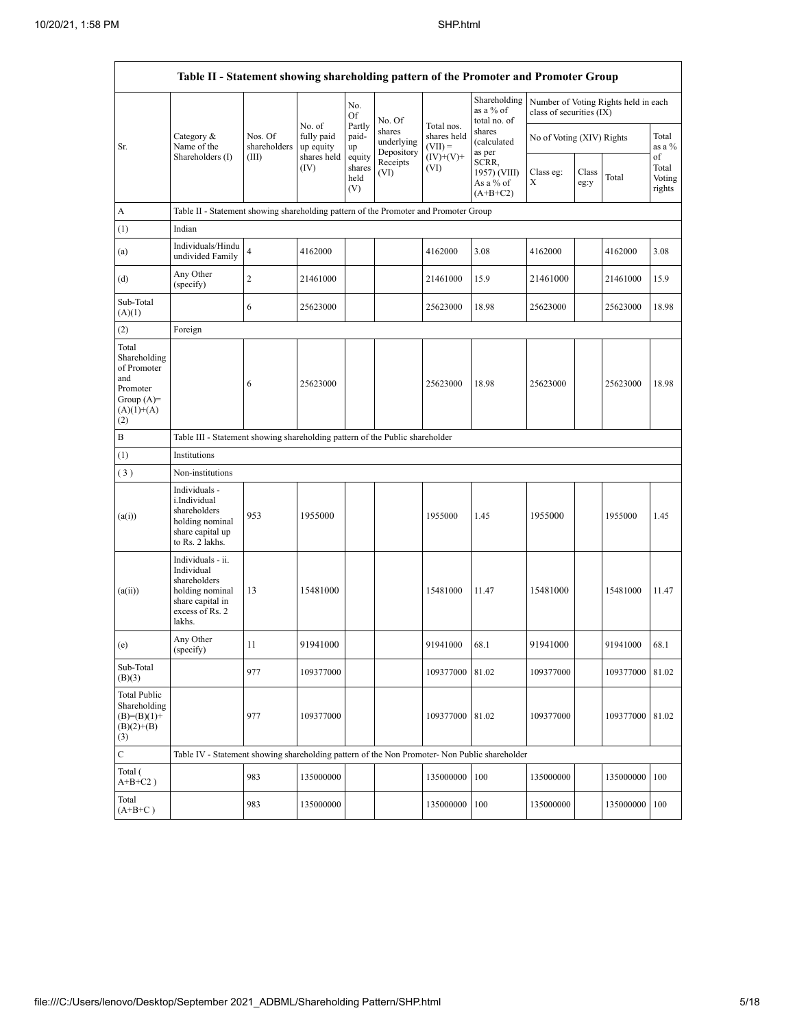$\mathbf{r}$ 

|                                                                                                | Table II - Statement showing shareholding pattern of the Promoter and Promoter Group                                |                         |                                   |                                 |                                    |                                        |                                                  |                           |               |                                      |                                 |
|------------------------------------------------------------------------------------------------|---------------------------------------------------------------------------------------------------------------------|-------------------------|-----------------------------------|---------------------------------|------------------------------------|----------------------------------------|--------------------------------------------------|---------------------------|---------------|--------------------------------------|---------------------------------|
|                                                                                                |                                                                                                                     |                         |                                   | No.<br>Of                       | No. Of                             |                                        | Shareholding<br>as a % of<br>total no. of        | class of securities (IX)  |               | Number of Voting Rights held in each |                                 |
| Sr.                                                                                            | Category $\&$<br>Name of the                                                                                        | Nos. Of<br>shareholders | No. of<br>fully paid<br>up equity | Partly<br>paid-<br>up           | shares<br>underlying<br>Depository | Total nos.<br>shares held<br>$(VII) =$ | shares<br>(calculated<br>as per                  | No of Voting (XIV) Rights |               |                                      | Total<br>as a %                 |
|                                                                                                | Shareholders (I)                                                                                                    | (III)                   | shares held<br>(IV)               | equity<br>shares<br>held<br>(V) | Receipts<br>(VI)                   | $(IV)+(V)+$<br>(VI)                    | SCRR,<br>1957) (VIII)<br>As a % of<br>$(A+B+C2)$ | Class eg:<br>X            | Class<br>eg:y | Total                                | of<br>Total<br>Voting<br>rights |
| A                                                                                              | Table II - Statement showing shareholding pattern of the Promoter and Promoter Group                                |                         |                                   |                                 |                                    |                                        |                                                  |                           |               |                                      |                                 |
| (1)                                                                                            | Indian                                                                                                              |                         |                                   |                                 |                                    |                                        |                                                  |                           |               |                                      |                                 |
| (a)                                                                                            | Individuals/Hindu<br>undivided Family                                                                               | $\overline{4}$          | 4162000                           |                                 |                                    | 4162000                                | 3.08                                             | 4162000                   |               | 4162000                              | 3.08                            |
| (d)                                                                                            | Any Other<br>(specify)                                                                                              | $\overline{c}$          | 21461000                          |                                 |                                    | 21461000                               | 15.9                                             | 21461000                  |               | 21461000                             | 15.9                            |
| Sub-Total<br>(A)(1)                                                                            |                                                                                                                     | 6                       | 25623000                          |                                 |                                    | 25623000                               | 18.98                                            | 25623000                  |               | 25623000                             | 18.98                           |
| (2)                                                                                            | Foreign                                                                                                             |                         |                                   |                                 |                                    |                                        |                                                  |                           |               |                                      |                                 |
| Total<br>Shareholding<br>of Promoter<br>and<br>Promoter<br>Group $(A)=$<br>$(A)(1)+(A)$<br>(2) |                                                                                                                     | 6                       | 25623000                          |                                 |                                    | 25623000                               | 18.98                                            | 25623000                  |               | 25623000                             | 18.98                           |
| B                                                                                              | Table III - Statement showing shareholding pattern of the Public shareholder                                        |                         |                                   |                                 |                                    |                                        |                                                  |                           |               |                                      |                                 |
| (1)                                                                                            | Institutions                                                                                                        |                         |                                   |                                 |                                    |                                        |                                                  |                           |               |                                      |                                 |
| (3)                                                                                            | Non-institutions                                                                                                    |                         |                                   |                                 |                                    |                                        |                                                  |                           |               |                                      |                                 |
| (a(i))                                                                                         | Individuals -<br>i.Individual<br>shareholders<br>holding nominal<br>share capital up<br>to Rs. 2 lakhs.             | 953                     | 1955000                           |                                 |                                    | 1955000                                | 1.45                                             | 1955000                   |               | 1955000                              | 1.45                            |
| (a(ii))                                                                                        | Individuals - ii.<br>Individual<br>shareholders<br>holding nominal<br>share capital in<br>excess of Rs. 2<br>lakhs. | 13                      | 15481000                          |                                 |                                    | 15481000                               | 11.47                                            | 15481000                  |               | 15481000                             | 11.47                           |
| (e)                                                                                            | Any Other<br>(specify)                                                                                              | 11                      | 91941000                          |                                 |                                    | 91941000                               | 68.1                                             | 91941000                  |               | 91941000                             | 68.1                            |
| Sub-Total<br>(B)(3)                                                                            |                                                                                                                     | 977                     | 109377000                         |                                 |                                    | 109377000 81.02                        |                                                  | 109377000                 |               | 109377000 81.02                      |                                 |
| <b>Total Public</b><br>Shareholding<br>$(B)=(B)(1)+$<br>$(B)(2)+(B)$<br>(3)                    |                                                                                                                     | 977                     | 109377000                         |                                 |                                    | 109377000 81.02                        |                                                  | 109377000                 |               | 109377000 81.02                      |                                 |
| $\mathbf C$                                                                                    | Table IV - Statement showing shareholding pattern of the Non Promoter- Non Public shareholder                       |                         |                                   |                                 |                                    |                                        |                                                  |                           |               |                                      |                                 |
| Total (<br>$A+B+C2$ )                                                                          |                                                                                                                     | 983                     | 135000000                         |                                 |                                    | 135000000                              | 100                                              | 135000000                 |               | 135000000 100                        |                                 |
| Total<br>$(A+B+C)$                                                                             |                                                                                                                     | 983                     | 135000000                         |                                 |                                    | 135000000                              | 100                                              | 135000000                 |               | 135000000                            | 100                             |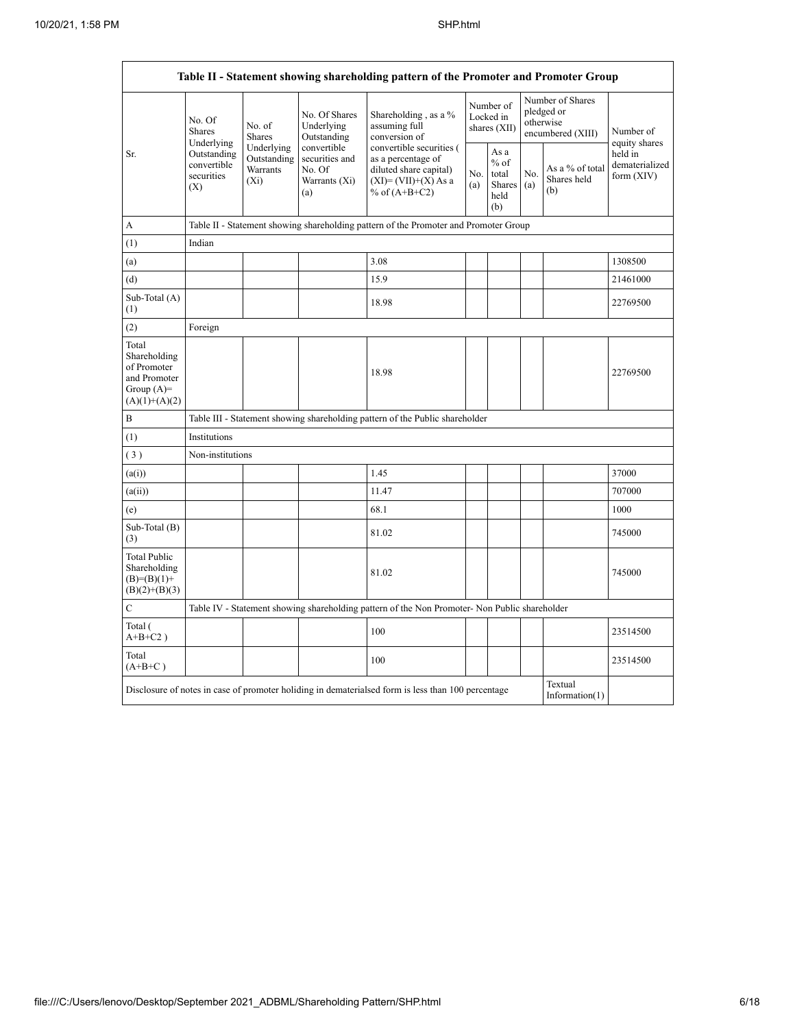$\Gamma$ 

|                                                                                          | Table II - Statement showing shareholding pattern of the Promoter and Promoter Group                                               |                                                  |                                                                 |                                                                                                                        |                                        |                                                         |                                                                  |                                       |                                         |
|------------------------------------------------------------------------------------------|------------------------------------------------------------------------------------------------------------------------------------|--------------------------------------------------|-----------------------------------------------------------------|------------------------------------------------------------------------------------------------------------------------|----------------------------------------|---------------------------------------------------------|------------------------------------------------------------------|---------------------------------------|-----------------------------------------|
|                                                                                          | No. Of<br><b>Shares</b><br>Underlying                                                                                              | No. of<br><b>Shares</b>                          | No. Of Shares<br>Underlying<br>Outstanding                      | Shareholding, as a %<br>assuming full<br>conversion of                                                                 | Number of<br>Locked in<br>shares (XII) |                                                         | Number of Shares<br>pledged or<br>otherwise<br>encumbered (XIII) |                                       | Number of<br>equity shares              |
| Sr.                                                                                      | Outstanding<br>convertible<br>securities<br>(X)                                                                                    | Underlying<br>Outstanding<br>Warrants<br>$(X_i)$ | convertible<br>securities and<br>No. Of<br>Warrants (Xi)<br>(a) | convertible securities (<br>as a percentage of<br>diluted share capital)<br>$(XI) = (VII)+(X) As a$<br>% of $(A+B+C2)$ | No.<br>(a)                             | As a<br>$%$ of<br>total<br><b>Shares</b><br>held<br>(b) | No.<br>(a)                                                       | As a % of total<br>Shares held<br>(b) | held in<br>dematerialized<br>form (XIV) |
| A                                                                                        |                                                                                                                                    |                                                  |                                                                 | Table II - Statement showing shareholding pattern of the Promoter and Promoter Group                                   |                                        |                                                         |                                                                  |                                       |                                         |
| (1)                                                                                      | Indian                                                                                                                             |                                                  |                                                                 |                                                                                                                        |                                        |                                                         |                                                                  |                                       |                                         |
| (a)                                                                                      |                                                                                                                                    |                                                  |                                                                 | 3.08                                                                                                                   |                                        |                                                         |                                                                  |                                       | 1308500                                 |
| (d)                                                                                      |                                                                                                                                    |                                                  |                                                                 | 15.9                                                                                                                   |                                        |                                                         |                                                                  |                                       | 21461000                                |
| Sub-Total (A)<br>(1)                                                                     |                                                                                                                                    |                                                  |                                                                 | 18.98                                                                                                                  |                                        |                                                         |                                                                  |                                       | 22769500                                |
| (2)                                                                                      | Foreign                                                                                                                            |                                                  |                                                                 |                                                                                                                        |                                        |                                                         |                                                                  |                                       |                                         |
| Total<br>Shareholding<br>of Promoter<br>and Promoter<br>Group $(A)$ =<br>$(A)(1)+(A)(2)$ |                                                                                                                                    |                                                  |                                                                 | 18.98                                                                                                                  |                                        |                                                         |                                                                  |                                       | 22769500                                |
| $\, {\bf B}$                                                                             |                                                                                                                                    |                                                  |                                                                 | Table III - Statement showing shareholding pattern of the Public shareholder                                           |                                        |                                                         |                                                                  |                                       |                                         |
| (1)                                                                                      | Institutions                                                                                                                       |                                                  |                                                                 |                                                                                                                        |                                        |                                                         |                                                                  |                                       |                                         |
| (3)                                                                                      | Non-institutions                                                                                                                   |                                                  |                                                                 |                                                                                                                        |                                        |                                                         |                                                                  |                                       |                                         |
| (a(i))                                                                                   |                                                                                                                                    |                                                  |                                                                 | 1.45                                                                                                                   |                                        |                                                         |                                                                  |                                       | 37000                                   |
| (a(ii))                                                                                  |                                                                                                                                    |                                                  |                                                                 | 11.47                                                                                                                  |                                        |                                                         |                                                                  |                                       | 707000                                  |
| (e)                                                                                      |                                                                                                                                    |                                                  |                                                                 | 68.1                                                                                                                   |                                        |                                                         |                                                                  |                                       | 1000                                    |
| Sub-Total (B)<br>(3)                                                                     |                                                                                                                                    |                                                  |                                                                 | 81.02                                                                                                                  |                                        |                                                         |                                                                  |                                       | 745000                                  |
| <b>Total Public</b><br>Shareholding<br>$(B)= (B)(1) +$<br>$(B)(2)+(B)(3)$                |                                                                                                                                    |                                                  |                                                                 | 81.02                                                                                                                  |                                        |                                                         |                                                                  |                                       | 745000                                  |
| $\mathbf C$                                                                              |                                                                                                                                    |                                                  |                                                                 | Table IV - Statement showing shareholding pattern of the Non Promoter- Non Public shareholder                          |                                        |                                                         |                                                                  |                                       |                                         |
| Total (<br>$A+B+C2$ )                                                                    |                                                                                                                                    |                                                  |                                                                 | 100                                                                                                                    |                                        |                                                         |                                                                  |                                       | 23514500                                |
| Total<br>$(A+B+C)$                                                                       |                                                                                                                                    |                                                  |                                                                 | 100                                                                                                                    |                                        |                                                         |                                                                  |                                       | 23514500                                |
|                                                                                          | Textual<br>Disclosure of notes in case of promoter holiding in dematerialsed form is less than 100 percentage<br>Information $(1)$ |                                                  |                                                                 |                                                                                                                        |                                        |                                                         |                                                                  |                                       |                                         |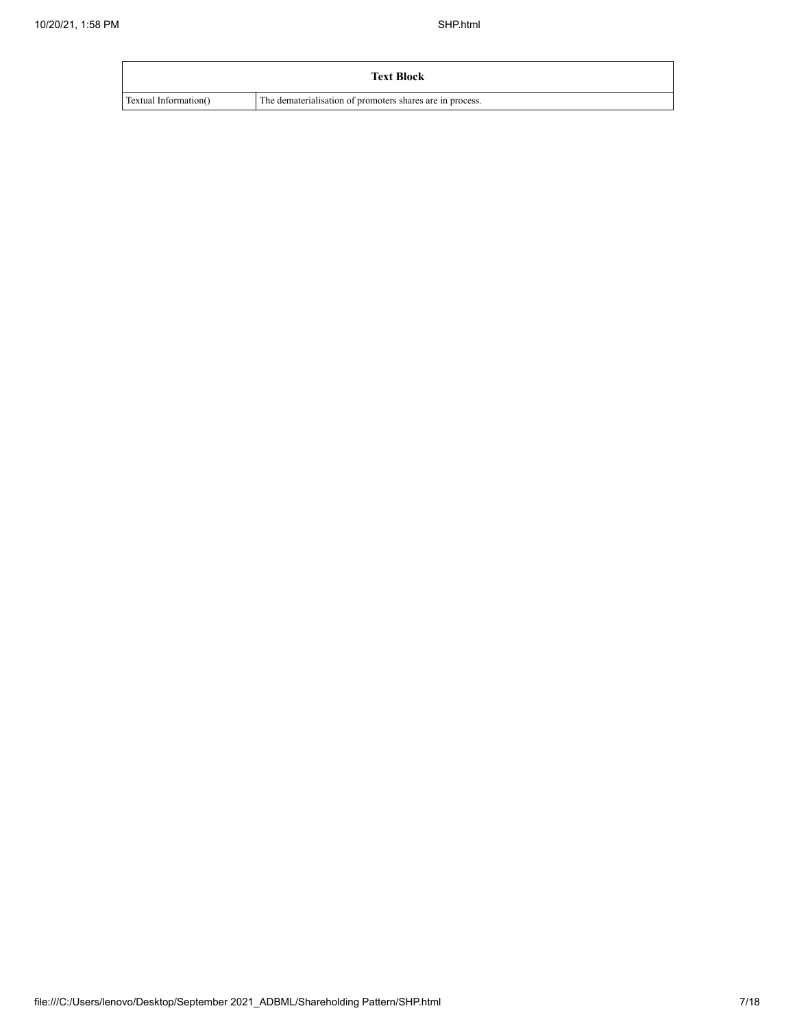|                       | <b>Text Block</b>                                         |
|-----------------------|-----------------------------------------------------------|
| Textual Information() | The dematerialisation of promoters shares are in process. |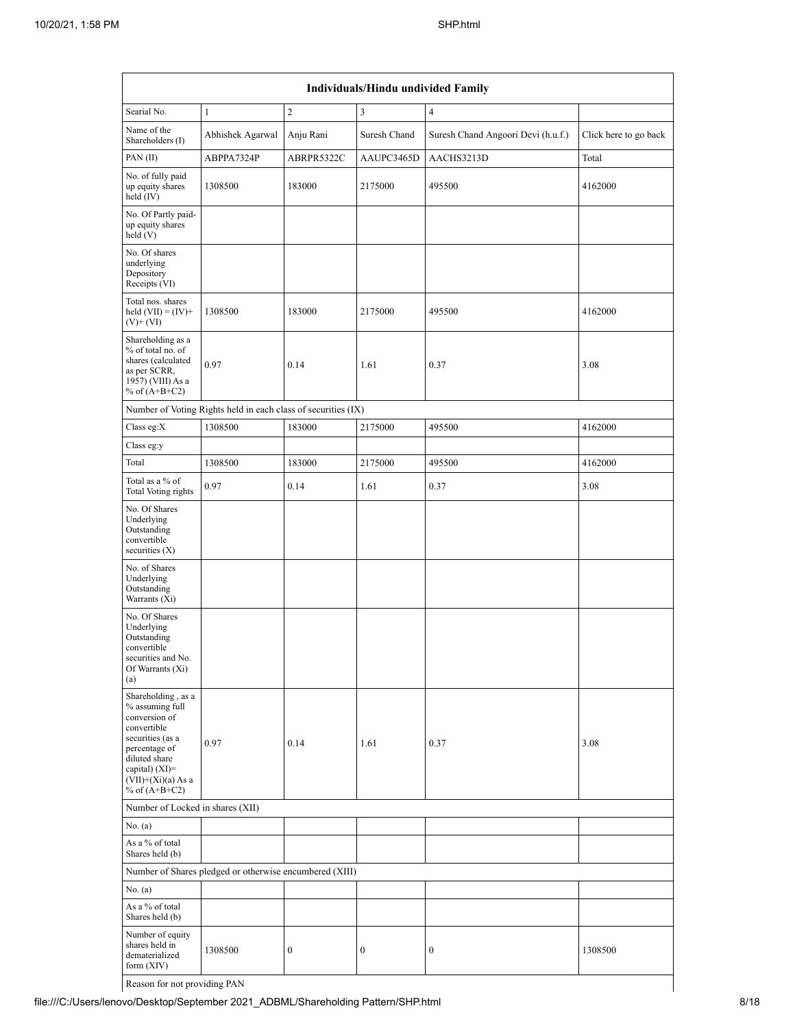| Individuals/Hindu undivided Family                                                                                                                                                       |                                                               |                  |                  |                                    |                       |  |  |  |  |
|------------------------------------------------------------------------------------------------------------------------------------------------------------------------------------------|---------------------------------------------------------------|------------------|------------------|------------------------------------|-----------------------|--|--|--|--|
| Searial No.                                                                                                                                                                              | $\mathbf{1}$                                                  | $\overline{2}$   | 3                | $\overline{4}$                     |                       |  |  |  |  |
| Name of the<br>Shareholders (I)                                                                                                                                                          | Abhishek Agarwal                                              | Anju Rani        | Suresh Chand     | Suresh Chand Angoori Devi (h.u.f.) | Click here to go back |  |  |  |  |
| PAN(II)                                                                                                                                                                                  | ABPPA7324P                                                    | ABRPR5322C       | AAUPC3465D       | AACHS3213D                         | Total                 |  |  |  |  |
| No. of fully paid<br>up equity shares<br>held (IV)                                                                                                                                       | 1308500                                                       | 183000           | 2175000          | 495500                             | 4162000               |  |  |  |  |
| No. Of Partly paid-<br>up equity shares<br>held(V)                                                                                                                                       |                                                               |                  |                  |                                    |                       |  |  |  |  |
| No. Of shares<br>underlying<br>Depository<br>Receipts (VI)                                                                                                                               |                                                               |                  |                  |                                    |                       |  |  |  |  |
| Total nos. shares<br>held $(VII) = (IV) +$<br>$(V)$ + $(VI)$                                                                                                                             | 1308500                                                       | 183000           | 2175000          | 495500                             | 4162000               |  |  |  |  |
| Shareholding as a<br>% of total no. of<br>shares (calculated<br>as per SCRR,<br>1957) (VIII) As a<br>% of $(A+B+C2)$                                                                     | 0.97                                                          | 0.14             | 1.61             | 0.37                               | 3.08                  |  |  |  |  |
|                                                                                                                                                                                          | Number of Voting Rights held in each class of securities (IX) |                  |                  |                                    |                       |  |  |  |  |
| Class eg: $X$                                                                                                                                                                            | 1308500                                                       | 183000           | 2175000          | 495500                             | 4162000               |  |  |  |  |
| Class eg:y                                                                                                                                                                               |                                                               |                  |                  |                                    |                       |  |  |  |  |
| Total                                                                                                                                                                                    | 1308500                                                       | 183000           | 2175000          | 495500                             | 4162000               |  |  |  |  |
| Total as a % of<br><b>Total Voting rights</b>                                                                                                                                            | 0.97                                                          | 0.14             | 1.61             | 0.37                               | 3.08                  |  |  |  |  |
| No. Of Shares<br>Underlying<br>Outstanding<br>convertible<br>securities (X)                                                                                                              |                                                               |                  |                  |                                    |                       |  |  |  |  |
| No. of Shares<br>Underlying<br>Outstanding<br>Warrants (Xi)                                                                                                                              |                                                               |                  |                  |                                    |                       |  |  |  |  |
| No. Of Shares<br>Underlying<br>Outstanding<br>convertible<br>securities and No.<br>Of Warrants (Xi)<br>(a)                                                                               |                                                               |                  |                  |                                    |                       |  |  |  |  |
| Shareholding, as a<br>% assuming full<br>conversion of<br>convertible<br>securities (as a<br>percentage of<br>diluted share<br>capital) (XI)=<br>$(VII)+(Xi)(a)$ As a<br>% of $(A+B+C2)$ | 0.97                                                          | 0.14             | 1.61             | 0.37                               | 3.08                  |  |  |  |  |
| Number of Locked in shares (XII)                                                                                                                                                         |                                                               |                  |                  |                                    |                       |  |  |  |  |
| No. (a)                                                                                                                                                                                  |                                                               |                  |                  |                                    |                       |  |  |  |  |
| As a % of total<br>Shares held (b)                                                                                                                                                       |                                                               |                  |                  |                                    |                       |  |  |  |  |
|                                                                                                                                                                                          | Number of Shares pledged or otherwise encumbered (XIII)       |                  |                  |                                    |                       |  |  |  |  |
| No. $(a)$                                                                                                                                                                                |                                                               |                  |                  |                                    |                       |  |  |  |  |
| As a % of total<br>Shares held (b)                                                                                                                                                       |                                                               |                  |                  |                                    |                       |  |  |  |  |
| Number of equity<br>shares held in<br>dematerialized<br>form $(XIV)$                                                                                                                     | 1308500                                                       | $\boldsymbol{0}$ | $\boldsymbol{0}$ | $\boldsymbol{0}$                   | 1308500               |  |  |  |  |

Reason for not providing PAN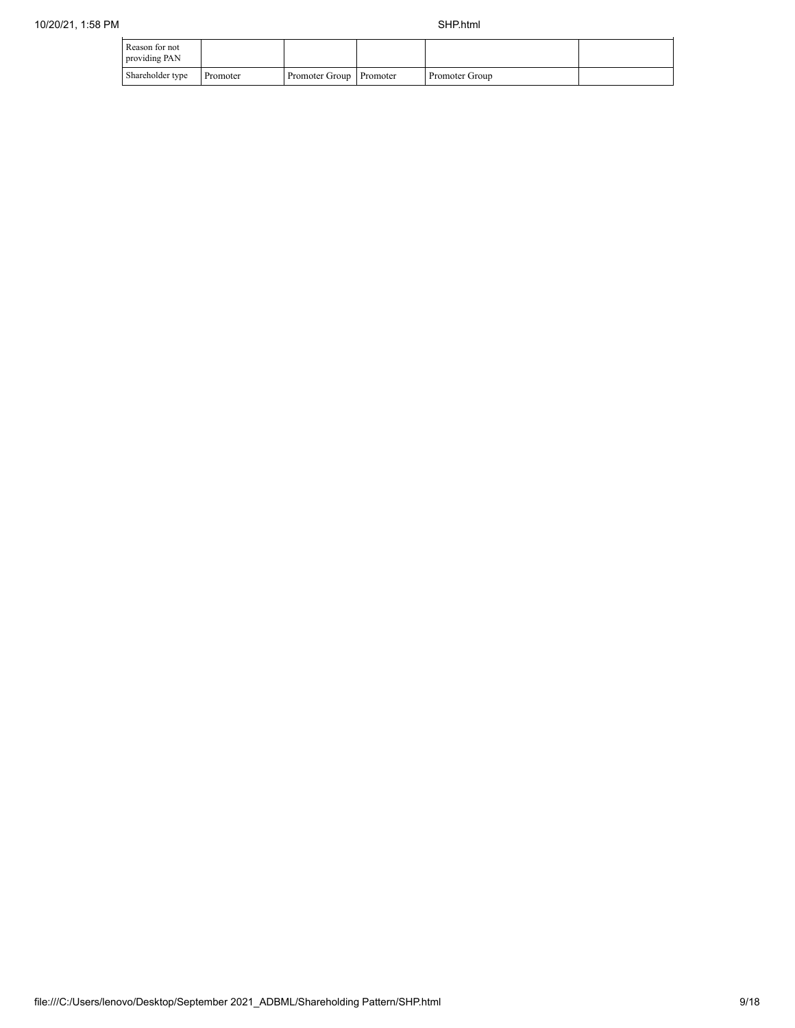| Reason for not<br>providing PAN |          |                         |                |  |
|---------------------------------|----------|-------------------------|----------------|--|
| Shareholder type                | Promoter | Promoter Group Promoter | Promoter Group |  |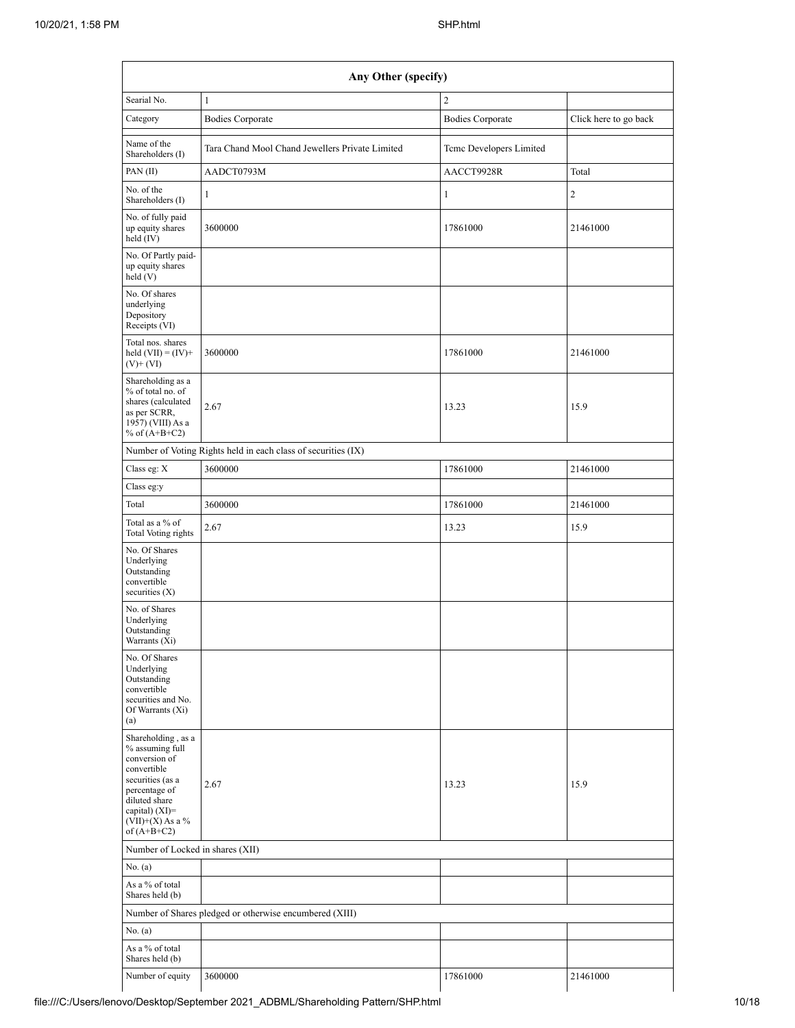|                                                                                                                                                                                                                 | Any Other (specify)                                           |                         |                       |
|-----------------------------------------------------------------------------------------------------------------------------------------------------------------------------------------------------------------|---------------------------------------------------------------|-------------------------|-----------------------|
| Searial No.                                                                                                                                                                                                     | $\mathbf{1}$                                                  | $\overline{2}$          |                       |
| Category                                                                                                                                                                                                        | <b>Bodies Corporate</b>                                       | <b>Bodies Corporate</b> | Click here to go back |
| Name of the<br>Shareholders (I)                                                                                                                                                                                 | Tara Chand Mool Chand Jewellers Private Limited               | Teme Developers Limited |                       |
| PAN (II)                                                                                                                                                                                                        | AADCT0793M                                                    | AACCT9928R              | Total                 |
| No. of the<br>Shareholders (I)                                                                                                                                                                                  | $\mathbf{1}$                                                  | $\mathbf{1}$            | $\overline{c}$        |
| No. of fully paid<br>up equity shares<br>held (IV)                                                                                                                                                              | 3600000                                                       | 17861000                | 21461000              |
| No. Of Partly paid-<br>up equity shares<br>held (V)                                                                                                                                                             |                                                               |                         |                       |
| No. Of shares<br>underlying<br>Depository<br>Receipts (VI)                                                                                                                                                      |                                                               |                         |                       |
| Total nos. shares<br>held $(VII) = (IV) +$<br>$(V)$ + $(VI)$                                                                                                                                                    | 3600000                                                       | 17861000                | 21461000              |
| Shareholding as a<br>% of total no. of<br>shares (calculated<br>as per SCRR,<br>1957) (VIII) As a<br>% of $(A+B+C2)$                                                                                            | 2.67                                                          | 13.23                   | 15.9                  |
|                                                                                                                                                                                                                 | Number of Voting Rights held in each class of securities (IX) |                         |                       |
| Class eg: X                                                                                                                                                                                                     | 3600000                                                       | 17861000                | 21461000              |
| Class eg:y                                                                                                                                                                                                      |                                                               |                         |                       |
| Total                                                                                                                                                                                                           | 3600000                                                       | 17861000                | 21461000              |
| Total as a % of<br>Total Voting rights                                                                                                                                                                          | 2.67                                                          | 13.23                   | 15.9                  |
| No. Of Shares<br>Underlying<br>Outstanding<br>convertible<br>securities $(X)$                                                                                                                                   |                                                               |                         |                       |
| No. of Shares<br>Underlying<br>Outstanding<br>Warrants (Xi)                                                                                                                                                     |                                                               |                         |                       |
| No. Of Shares<br>Underlying<br>Outstanding<br>convertible<br>securities and No.<br>Of Warrants (Xi)<br>(a)                                                                                                      |                                                               |                         |                       |
| Shareholding, as a<br>% assuming full<br>conversion of<br>convertible<br>securities (as a<br>percentage of<br>diluted share<br>capital) $(XI)=$<br>$(\bar{\operatorname{VII}})$ +(X) As a $\%$<br>of $(A+B+C2)$ | 2.67                                                          | 13.23                   | 15.9                  |
| Number of Locked in shares (XII)                                                                                                                                                                                |                                                               |                         |                       |
| No. (a)                                                                                                                                                                                                         |                                                               |                         |                       |
| As a % of total<br>Shares held (b)                                                                                                                                                                              |                                                               |                         |                       |
|                                                                                                                                                                                                                 | Number of Shares pledged or otherwise encumbered (XIII)       |                         |                       |
| No. $(a)$                                                                                                                                                                                                       |                                                               |                         |                       |
| As a $\%$ of total<br>Shares held (b)                                                                                                                                                                           |                                                               |                         |                       |
| Number of equity                                                                                                                                                                                                | 3600000                                                       | 17861000                | 21461000              |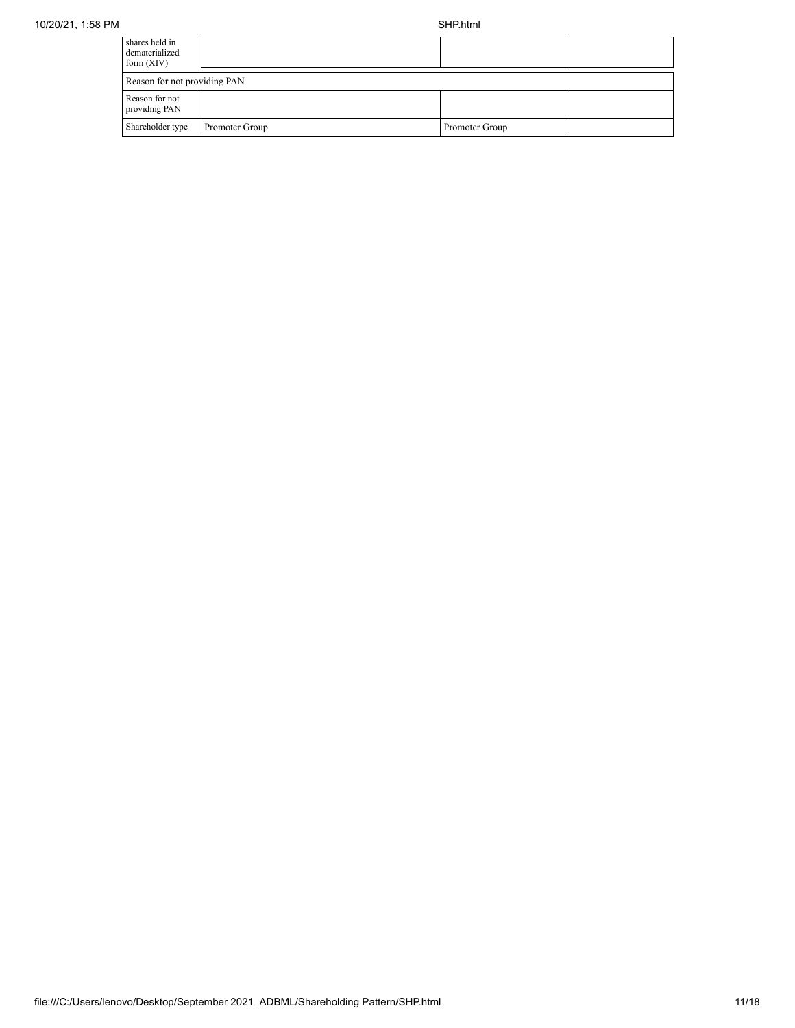| shares held in<br>dematerialized<br>form $(XIV)$ |                |                |  |  |  |  |  |
|--------------------------------------------------|----------------|----------------|--|--|--|--|--|
| Reason for not providing PAN                     |                |                |  |  |  |  |  |
| Reason for not<br>providing PAN                  |                |                |  |  |  |  |  |
| Shareholder type                                 | Promoter Group | Promoter Group |  |  |  |  |  |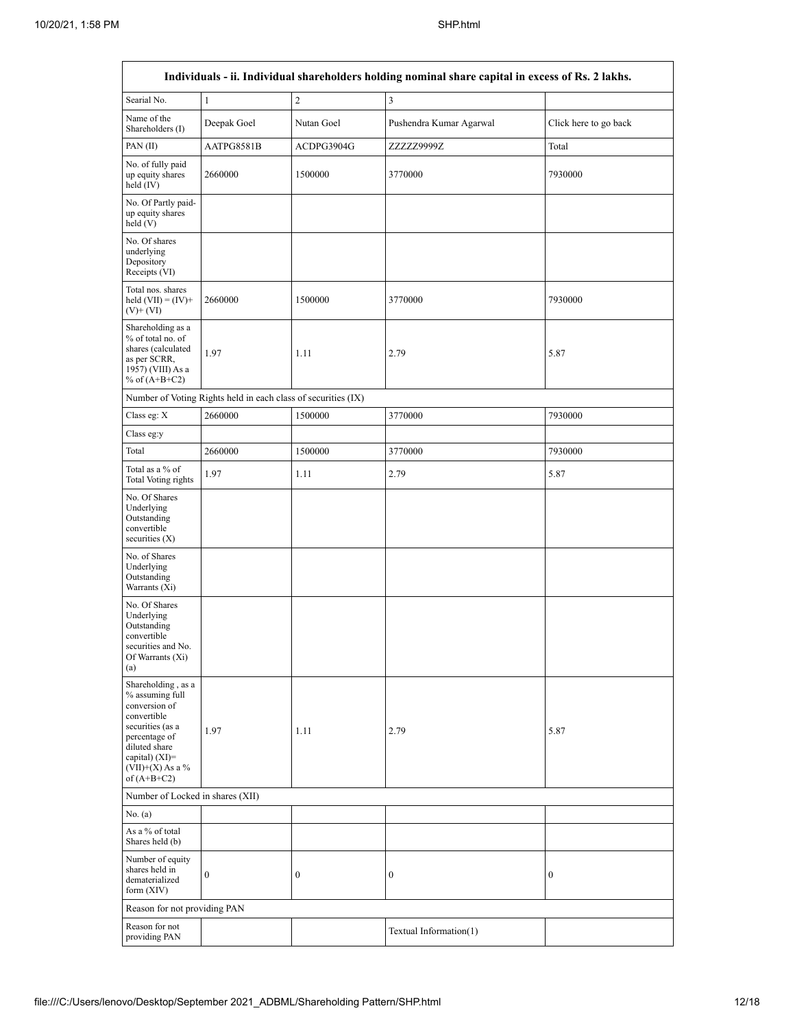|                                                                                                                                                                                         |                                                               |                  | Individuals - ii. Individual shareholders holding nominal share capital in excess of Rs. 2 lakhs. |                       |
|-----------------------------------------------------------------------------------------------------------------------------------------------------------------------------------------|---------------------------------------------------------------|------------------|---------------------------------------------------------------------------------------------------|-----------------------|
| Searial No.                                                                                                                                                                             | $\mathbf{1}$                                                  | $\overline{c}$   | $\mathfrak{Z}$                                                                                    |                       |
| Name of the<br>Shareholders (I)                                                                                                                                                         | Deepak Goel                                                   | Nutan Goel       | Pushendra Kumar Agarwal                                                                           | Click here to go back |
| PAN (II)                                                                                                                                                                                | AATPG8581B                                                    | ACDPG3904G       | ZZZZZ9999Z                                                                                        | Total                 |
| No. of fully paid<br>up equity shares<br>held (IV)                                                                                                                                      | 2660000                                                       | 1500000          | 3770000                                                                                           | 7930000               |
| No. Of Partly paid-<br>up equity shares<br>held(V)                                                                                                                                      |                                                               |                  |                                                                                                   |                       |
| No. Of shares<br>underlying<br>Depository<br>Receipts (VI)                                                                                                                              |                                                               |                  |                                                                                                   |                       |
| Total nos. shares<br>held $(VII) = (IV) +$<br>$(V)$ + $(VI)$                                                                                                                            | 2660000                                                       | 1500000          | 3770000                                                                                           | 7930000               |
| Shareholding as a<br>% of total no. of<br>shares (calculated<br>as per SCRR,<br>1957) (VIII) As a<br>% of $(A+B+C2)$                                                                    | 1.97                                                          | 1.11             | 2.79                                                                                              | 5.87                  |
|                                                                                                                                                                                         | Number of Voting Rights held in each class of securities (IX) |                  |                                                                                                   |                       |
| Class eg: X                                                                                                                                                                             | 2660000                                                       | 1500000          | 3770000                                                                                           | 7930000               |
| Class eg:y                                                                                                                                                                              |                                                               |                  |                                                                                                   |                       |
| Total                                                                                                                                                                                   | 2660000                                                       | 1500000          | 3770000                                                                                           | 7930000               |
| Total as a % of<br>Total Voting rights                                                                                                                                                  | 1.97                                                          | 1.11             | 2.79                                                                                              | 5.87                  |
| No. Of Shares<br>Underlying<br>Outstanding<br>convertible<br>securities $(X)$                                                                                                           |                                                               |                  |                                                                                                   |                       |
| No. of Shares<br>Underlying<br>Outstanding<br>Warrants (Xi)                                                                                                                             |                                                               |                  |                                                                                                   |                       |
| No. Of Shares<br>Underlying<br>Outstanding<br>convertible<br>securities and No.<br>Of Warrants (Xi)<br>(a)                                                                              |                                                               |                  |                                                                                                   |                       |
| Shareholding, as a<br>% assuming full<br>conversion of<br>convertible<br>securities (as a<br>percentage of<br>diluted share<br>capital) $(XI)$ =<br>$(VII)+(X)$ As a %<br>of $(A+B+C2)$ | 1.97                                                          | 1.11             | 2.79                                                                                              | 5.87                  |
| Number of Locked in shares (XII)                                                                                                                                                        |                                                               |                  |                                                                                                   |                       |
| No. $(a)$                                                                                                                                                                               |                                                               |                  |                                                                                                   |                       |
| As a % of total<br>Shares held (b)                                                                                                                                                      |                                                               |                  |                                                                                                   |                       |
| Number of equity<br>shares held in<br>dematerialized<br>form $(XIV)$                                                                                                                    | $\boldsymbol{0}$                                              | $\boldsymbol{0}$ | $\boldsymbol{0}$                                                                                  | $\boldsymbol{0}$      |
| Reason for not providing PAN                                                                                                                                                            |                                                               |                  |                                                                                                   |                       |
| Reason for not<br>providing PAN                                                                                                                                                         |                                                               |                  | Textual Information(1)                                                                            |                       |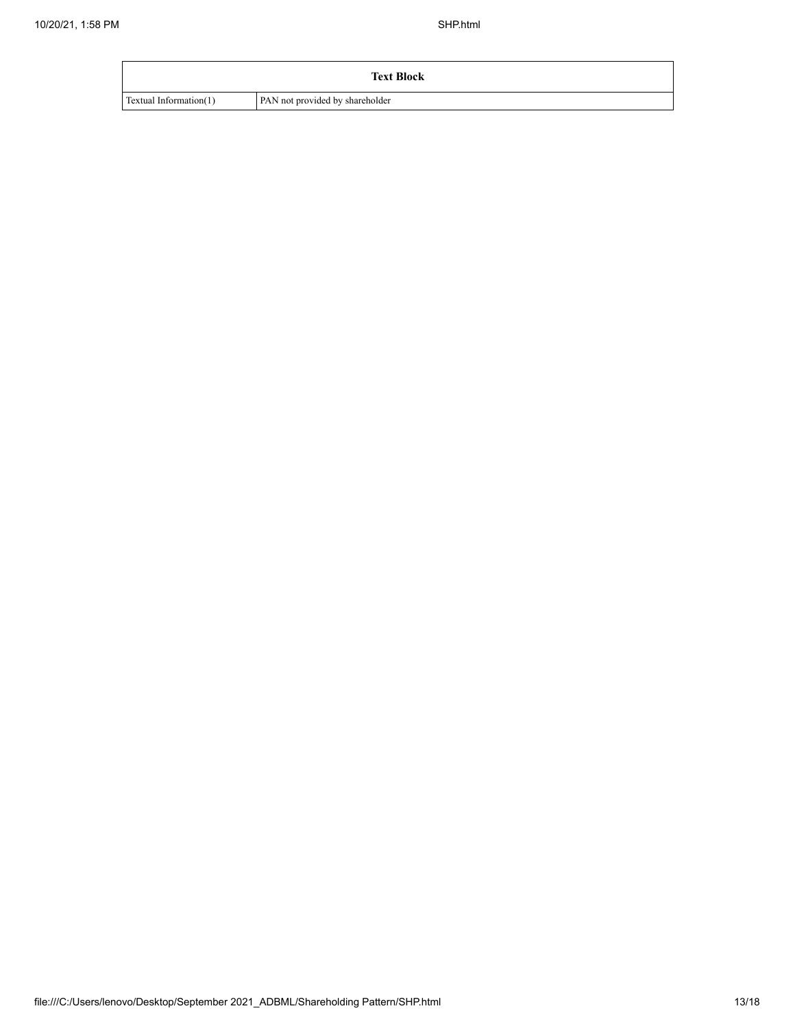| <b>Text Block</b>      |                                 |  |  |  |  |
|------------------------|---------------------------------|--|--|--|--|
| Textual Information(1) | PAN not provided by shareholder |  |  |  |  |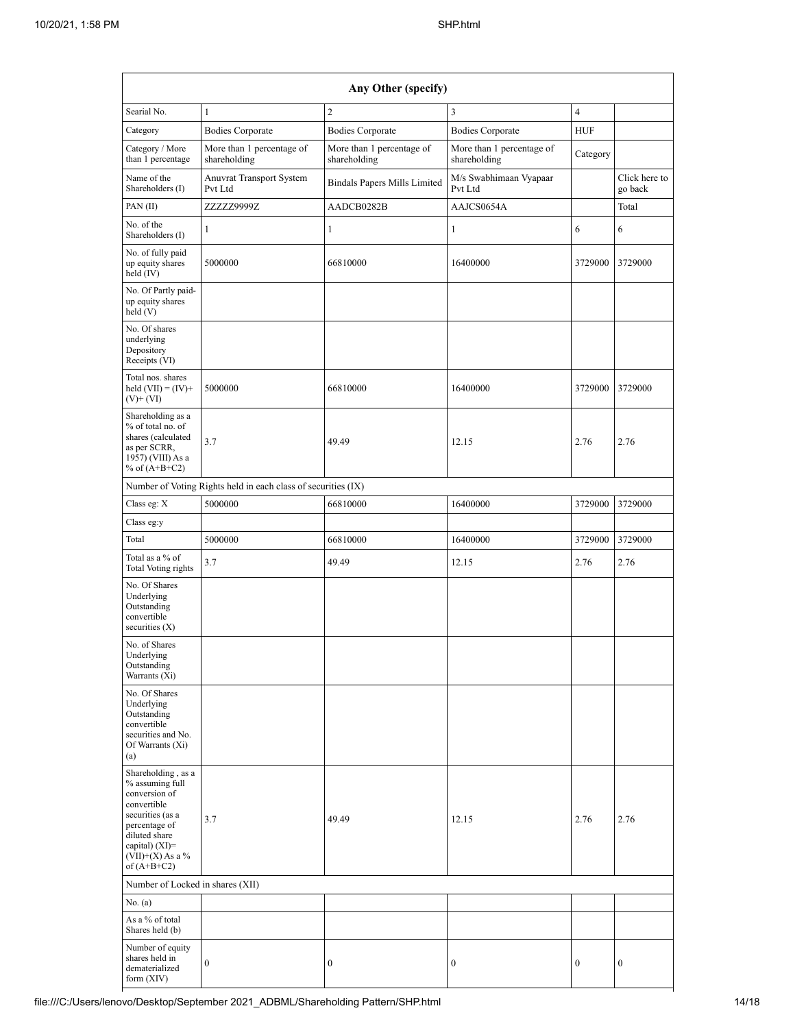| Any Other (specify)                                                                                                                                                                    |                                                               |                                           |                                           |                  |                          |  |  |  |  |  |  |
|----------------------------------------------------------------------------------------------------------------------------------------------------------------------------------------|---------------------------------------------------------------|-------------------------------------------|-------------------------------------------|------------------|--------------------------|--|--|--|--|--|--|
| Searial No.                                                                                                                                                                            | $\mathbf{1}$                                                  | $\overline{2}$                            | $\overline{3}$                            | $\overline{4}$   |                          |  |  |  |  |  |  |
| Category                                                                                                                                                                               | <b>Bodies Corporate</b>                                       | <b>Bodies Corporate</b>                   | <b>Bodies Corporate</b>                   | <b>HUF</b>       |                          |  |  |  |  |  |  |
| Category / More<br>than 1 percentage                                                                                                                                                   | More than 1 percentage of<br>shareholding                     | More than 1 percentage of<br>shareholding | More than 1 percentage of<br>shareholding | Category         |                          |  |  |  |  |  |  |
| Name of the<br>Shareholders (I)                                                                                                                                                        | <b>Anuvrat Transport System</b><br>Pvt Ltd                    | <b>Bindals Papers Mills Limited</b>       | M/s Swabhimaan Vyapaar<br>Pvt Ltd         |                  | Click here to<br>go back |  |  |  |  |  |  |
| PAN(II)                                                                                                                                                                                | ZZZZZ9999Z                                                    | AADCB0282B                                | AAJCS0654A                                |                  | Total                    |  |  |  |  |  |  |
| No. of the<br>Shareholders (I)                                                                                                                                                         | 1                                                             | 1                                         | $\mathbf{1}$                              | 6                | 6                        |  |  |  |  |  |  |
| No. of fully paid<br>up equity shares<br>held (IV)                                                                                                                                     | 5000000                                                       | 66810000                                  | 16400000                                  | 3729000          | 3729000                  |  |  |  |  |  |  |
| No. Of Partly paid-<br>up equity shares<br>held (V)                                                                                                                                    |                                                               |                                           |                                           |                  |                          |  |  |  |  |  |  |
| No. Of shares<br>underlying<br>Depository<br>Receipts (VI)                                                                                                                             |                                                               |                                           |                                           |                  |                          |  |  |  |  |  |  |
| Total nos. shares<br>held $(VII) = (IV) +$<br>$(V)$ + $(VI)$                                                                                                                           | 5000000                                                       | 66810000                                  | 16400000                                  | 3729000          | 3729000                  |  |  |  |  |  |  |
| Shareholding as a<br>% of total no. of<br>shares (calculated<br>as per SCRR,<br>1957) (VIII) As a<br>% of $(A+B+C2)$                                                                   | 3.7                                                           | 49.49                                     | 12.15                                     | 2.76             | 2.76                     |  |  |  |  |  |  |
|                                                                                                                                                                                        | Number of Voting Rights held in each class of securities (IX) |                                           |                                           |                  |                          |  |  |  |  |  |  |
| Class eg: X                                                                                                                                                                            | 5000000                                                       | 66810000                                  | 16400000                                  | 3729000          | 3729000                  |  |  |  |  |  |  |
| Class eg:y                                                                                                                                                                             |                                                               |                                           |                                           |                  |                          |  |  |  |  |  |  |
| Total                                                                                                                                                                                  | 5000000                                                       | 66810000                                  | 16400000                                  | 3729000          | 3729000                  |  |  |  |  |  |  |
| Total as a % of<br><b>Total Voting rights</b>                                                                                                                                          | 3.7                                                           | 49.49                                     | 12.15                                     | 2.76             | 2.76                     |  |  |  |  |  |  |
| No. Of Shares<br>Underlying<br>Outstanding<br>convertible<br>securities $(X)$                                                                                                          |                                                               |                                           |                                           |                  |                          |  |  |  |  |  |  |
| No. of Shares<br>Underlying<br>Outstanding<br>Warrants (Xi)                                                                                                                            |                                                               |                                           |                                           |                  |                          |  |  |  |  |  |  |
| No. Of Shares<br>Underlying<br>Outstanding<br>convertible<br>securities and No.<br>Of Warrants (Xi)<br>(a)                                                                             |                                                               |                                           |                                           |                  |                          |  |  |  |  |  |  |
| Shareholding, as a<br>% assuming full<br>conversion of<br>convertible<br>securities (as a<br>percentage of<br>diluted share<br>capital) $(XI)=$<br>$(VII)+(X)$ As a %<br>of $(A+B+C2)$ | 3.7                                                           | 49.49                                     | 12.15                                     | 2.76             | 2.76                     |  |  |  |  |  |  |
| Number of Locked in shares (XII)                                                                                                                                                       |                                                               |                                           |                                           |                  |                          |  |  |  |  |  |  |
| No. (a)                                                                                                                                                                                |                                                               |                                           |                                           |                  |                          |  |  |  |  |  |  |
| As a % of total<br>Shares held (b)                                                                                                                                                     |                                                               |                                           |                                           |                  |                          |  |  |  |  |  |  |
| Number of equity<br>shares held in<br>dematerialized<br>form (XIV)                                                                                                                     | $\boldsymbol{0}$                                              | 0                                         | $\boldsymbol{0}$                          | $\boldsymbol{0}$ | $\boldsymbol{0}$         |  |  |  |  |  |  |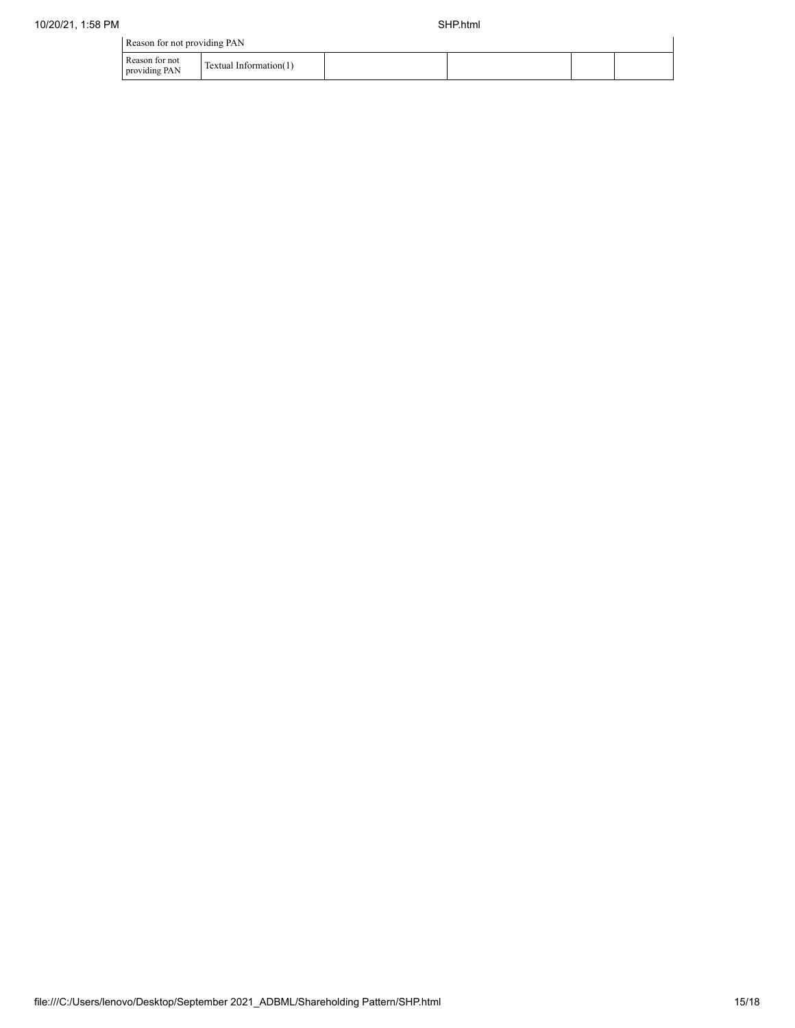| Reason for not providing PAN |  |
|------------------------------|--|
|------------------------------|--|

|                                 | --                               |  |  |
|---------------------------------|----------------------------------|--|--|
| Reason for not<br>providing PAN | .<br>- Information( I<br>Textual |  |  |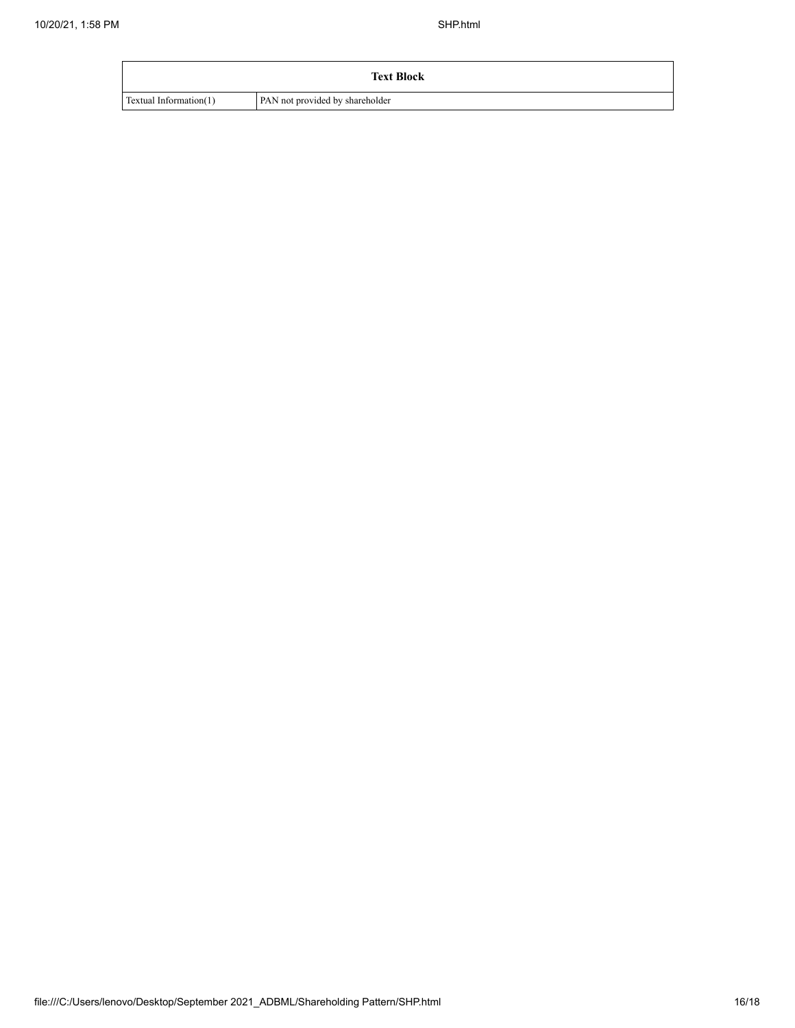| <b>Text Block</b>      |                                 |  |  |  |  |
|------------------------|---------------------------------|--|--|--|--|
| Textual Information(1) | PAN not provided by shareholder |  |  |  |  |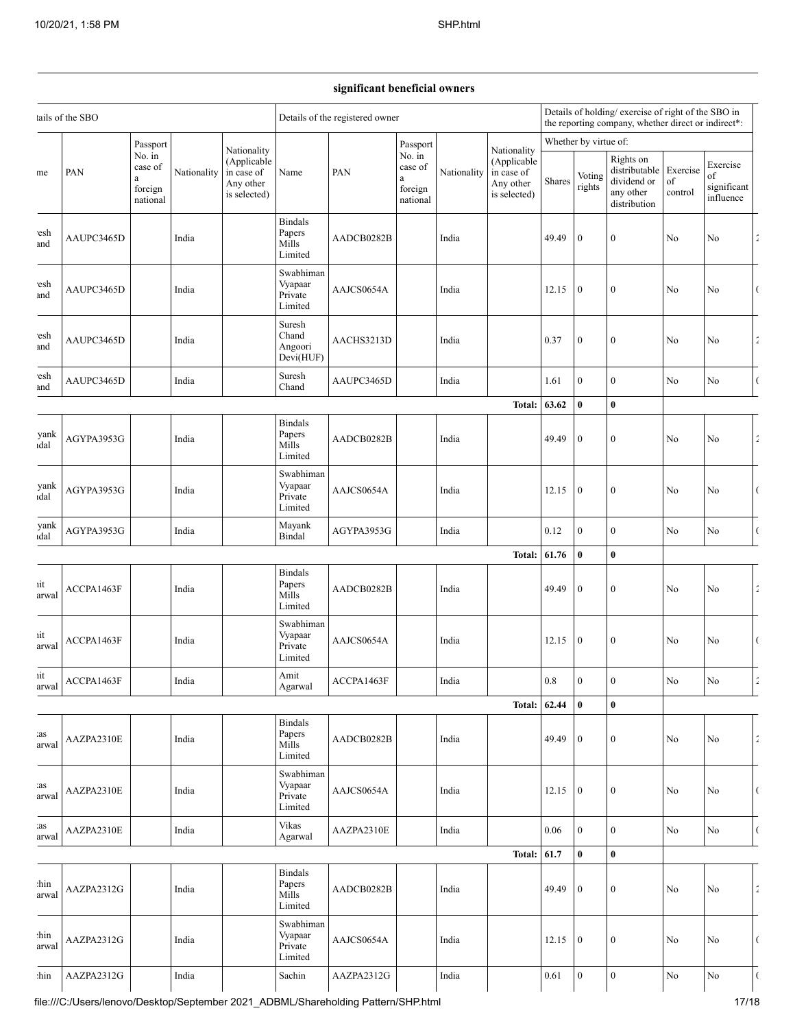## **significant beneficial owners**

| ails of the SBO |                                                                                    |                                | Details of the registered owner                                                                |             |                                                      |             | Details of holding/exercise of right of the SBO in<br>the reporting company, whether direct or indirect*: |        |                  |                                                                        |                           |                                            |                |          |                      |
|-----------------|------------------------------------------------------------------------------------|--------------------------------|------------------------------------------------------------------------------------------------|-------------|------------------------------------------------------|-------------|-----------------------------------------------------------------------------------------------------------|--------|------------------|------------------------------------------------------------------------|---------------------------|--------------------------------------------|----------------|----------|----------------------|
|                 | PAN<br>a                                                                           | Passport                       |                                                                                                | Nationality |                                                      |             | Passport                                                                                                  |        | Nationality      | Whether by virtue of:                                                  |                           |                                            |                |          |                      |
| ne              |                                                                                    | case of<br>foreign<br>national | No. in<br>(Applicable<br>Nationality<br>in case of<br>Name<br>PAN<br>Any other<br>is selected) |             | No. in<br>case of<br>$\rm{a}$<br>foreign<br>national | Nationality | (Applicable<br>in case of<br>Any other<br>is selected)                                                    | Shares | Voting<br>rights | Rights on<br>distributable<br>dividend or<br>any other<br>distribution | Exercise<br>of<br>control | Exercise<br>of<br>significant<br>influence |                |          |                      |
| esh<br>and      | AAUPC3465D                                                                         |                                | India                                                                                          |             | <b>Bindals</b><br>Papers<br>Mills<br>Limited         | AADCB0282B  |                                                                                                           | India  |                  | 49.49                                                                  | $\boldsymbol{0}$          | $\boldsymbol{0}$                           | No             | No       |                      |
| esh<br>and      | AAUPC3465D                                                                         |                                | India                                                                                          |             | Swabhiman<br>Vyapaar<br>Private<br>Limited           | AAJCS0654A  |                                                                                                           | India  |                  | 12.15                                                                  | $\mathbf{0}$              | $\boldsymbol{0}$                           | No             | No       | $\overline{(\ }$     |
| esh<br>and      | AAUPC3465D                                                                         |                                | India                                                                                          |             | Suresh<br>Chand<br>Angoori<br>Devi(HUF)              | AACHS3213D  |                                                                                                           | India  |                  | 0.37                                                                   | $\boldsymbol{0}$          | $\boldsymbol{0}$                           | No             | No       | $\frac{1}{2}$        |
| esh<br>and      | AAUPC3465D                                                                         |                                | India                                                                                          |             | Suresh<br>Chand                                      | AAUPC3465D  |                                                                                                           | India  |                  | 1.61                                                                   | $\mathbf{0}$              | $\boldsymbol{0}$                           | N <sub>0</sub> | No       | $\overline{(\ }$     |
|                 |                                                                                    |                                |                                                                                                |             |                                                      |             |                                                                                                           |        | Total:           | 63.62                                                                  | $\bf{0}$                  | $\bf{0}$                                   |                |          |                      |
| yank<br>ıdal    | AGYPA3953G                                                                         |                                | India                                                                                          |             | <b>Bindals</b><br>Papers<br>Mills<br>Limited         | AADCB0282B  |                                                                                                           | India  |                  | 49.49                                                                  | $\boldsymbol{0}$          | $\boldsymbol{0}$                           | No             | No       | $\tilde{z}$          |
| yank<br>ıdal    | AGYPA3953G                                                                         |                                | India                                                                                          |             | Swabhiman<br>Vyapaar<br>Private<br>Limited           | AAJCS0654A  |                                                                                                           | India  |                  | 12.15                                                                  | $\boldsymbol{0}$          | $\boldsymbol{0}$                           | No             | No       | $\overline{(\ }$     |
| yank<br>ıdal    | AGYPA3953G                                                                         |                                | India                                                                                          |             | Mayank<br>Bindal                                     | AGYPA3953G  |                                                                                                           | India  |                  | 0.12                                                                   | $\boldsymbol{0}$          | $\boldsymbol{0}$                           | No             | No       | $\overline{(\cdot)}$ |
|                 |                                                                                    |                                |                                                                                                |             |                                                      |             |                                                                                                           |        | Total:           | 61.76                                                                  | $\bf{0}$                  | $\bf{0}$                                   |                |          |                      |
| ut<br>arwal     | ACCPA1463F                                                                         |                                | India                                                                                          |             | <b>Bindals</b><br>Papers<br>Mills<br>Limited         | AADCB0282B  |                                                                                                           | India  |                  | 49.49                                                                  | $\boldsymbol{0}$          | $\boldsymbol{0}$                           | No             | No       | $\tilde{z}$          |
| ıit<br>arwal    | ACCPA1463F                                                                         |                                | India                                                                                          |             | Swabhiman<br>Vyapaar<br>Private<br>Limited           | AAJCS0654A  |                                                                                                           | India  |                  | 12.15                                                                  | $\boldsymbol{0}$          | $\boldsymbol{0}$                           | No             | No       | $\overline{(\ }$     |
| iit<br>arwal    | ACCPA1463F                                                                         |                                | India                                                                                          |             | Amit<br>Agarwal                                      | ACCPA1463F  |                                                                                                           | India  |                  | 0.8                                                                    | $\mathbf{0}$              | $\boldsymbol{0}$                           | No             | No       |                      |
|                 |                                                                                    |                                |                                                                                                |             |                                                      |             |                                                                                                           |        | <b>Total:</b>    | 62.44                                                                  | $\pmb{0}$                 | $\bf{0}$                                   |                |          |                      |
| as:<br>arwal    | AAZPA2310E                                                                         |                                | India                                                                                          |             | <b>Bindals</b><br>Papers<br>Mills<br>Limited         | AADCB0282B  |                                                                                                           | India  |                  | 49.49                                                                  | $\mathbf{0}$              | $\boldsymbol{0}$                           | $\rm No$       | No       | $\frac{\epsilon}{4}$ |
| as<br>arwal     | AAZPA2310E                                                                         |                                | India                                                                                          |             | Swabhiman<br>Vyapaar<br>Private<br>Limited           | AAJCS0654A  |                                                                                                           | India  |                  | 12.15                                                                  | $\boldsymbol{0}$          | $\boldsymbol{0}$                           | No             | No       | $\overline{(\ }$     |
| as:<br>arwal    | AAZPA2310E                                                                         |                                | India                                                                                          |             | Vikas<br>Agarwal                                     | AAZPA2310E  |                                                                                                           | India  |                  | 0.06                                                                   | $\mathbf{0}$              | $\boldsymbol{0}$                           | No             | No       | $\overline{(\ }$     |
|                 |                                                                                    |                                |                                                                                                |             |                                                      |             |                                                                                                           |        | <b>Total:</b>    | 61.7                                                                   | $\bf{0}$                  | $\bf{0}$                                   |                |          |                      |
| :hin<br>arwal   | AAZPA2312G                                                                         |                                | India                                                                                          |             | <b>Bindals</b><br>Papers<br>Mills<br>Limited         | AADCB0282B  |                                                                                                           | India  |                  | 49.49                                                                  | $\bf{0}$                  | $\boldsymbol{0}$                           | No             | No       | $\frac{\epsilon}{4}$ |
| hin<br>arwal    | AAZPA2312G                                                                         |                                | India                                                                                          |             | Swabhiman<br>Vyapaar<br>Private<br>Limited           | AAJCS0654A  |                                                                                                           | India  |                  | 12.15                                                                  | $\boldsymbol{0}$          | $\boldsymbol{0}$                           | No             | $\rm No$ | $\overline{(\ }$     |
| :hin            | AAZPA2312G                                                                         |                                | India                                                                                          |             | Sachin                                               | AAZPA2312G  |                                                                                                           | India  |                  | 0.61                                                                   | $\boldsymbol{0}$          | $\boldsymbol{0}$                           | No             | No       | $\overline{(\ }$     |
|                 | file:///C:/Users/lenovo/Desktop/September 2021_ADBML/Shareholding Pattern/SHP.html |                                |                                                                                                |             |                                                      |             |                                                                                                           |        |                  |                                                                        |                           |                                            |                | 17/18    |                      |